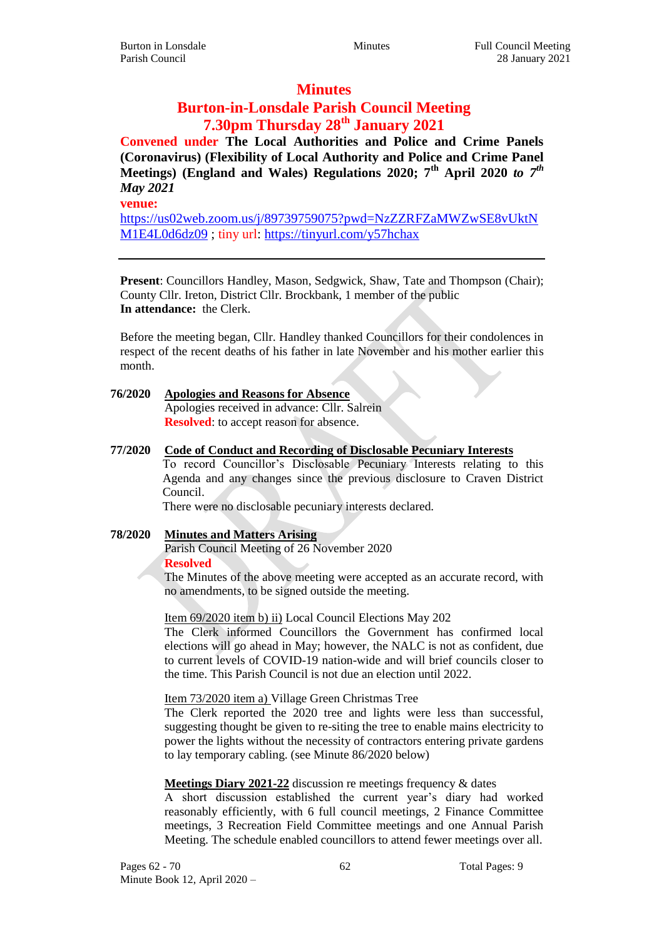# **Minutes**

# **Burton-in-Lonsdale Parish Council Meeting 7.30pm Thursday 28th January 2021**

**Convened under The Local Authorities and Police and Crime Panels (Coronavirus) (Flexibility of Local Authority and Police and Crime Panel Meetings) (England and Wales) Regulations 2020; 7th April 2020** *to 7th May 2021*

**venue:**

[https://us02web.zoom.us/j/89739759075?pwd=NzZZRFZaMWZwSE8vUktN](https://us02web.zoom.us/j/89739759075?pwd=NzZZRFZaMWZwSE8vUktNM1E4L0d6dz09) [M1E4L0d6dz09](https://us02web.zoom.us/j/89739759075?pwd=NzZZRFZaMWZwSE8vUktNM1E4L0d6dz09) ; tiny url:<https://tinyurl.com/y57hchax>

**Present**: Councillors Handley, Mason, Sedgwick, Shaw, Tate and Thompson (Chair); County Cllr. Ireton, District Cllr. Brockbank, 1 member of the public **In attendance:** the Clerk.

Before the meeting began, Cllr. Handley thanked Councillors for their condolences in respect of the recent deaths of his father in late November and his mother earlier this month.

**76/2020 Apologies and Reasons for Absence** Apologies received in advance: Cllr. Salrein **Resolved**: to accept reason for absence.

## **77/2020 Code of Conduct and Recording of Disclosable Pecuniary Interests**

To record Councillor's Disclosable Pecuniary Interests relating to this Agenda and any changes since the previous disclosure to Craven District Council.

There were no disclosable pecuniary interests declared.

# **78/2020 Minutes and Matters Arising**

Parish Council Meeting of 26 November 2020 **Resolved**

The Minutes of the above meeting were accepted as an accurate record, with no amendments, to be signed outside the meeting.

Item 69/2020 item b) ii) Local Council Elections May 202

The Clerk informed Councillors the Government has confirmed local elections will go ahead in May; however, the NALC is not as confident, due to current levels of COVID-19 nation-wide and will brief councils closer to the time. This Parish Council is not due an election until 2022.

## Item 73/2020 item a) Village Green Christmas Tree

The Clerk reported the 2020 tree and lights were less than successful, suggesting thought be given to re-siting the tree to enable mains electricity to power the lights without the necessity of contractors entering private gardens to lay temporary cabling. (see Minute 86/2020 below)

## **Meetings Diary 2021-22** discussion re meetings frequency & dates

A short discussion established the current year's diary had worked reasonably efficiently, with 6 full council meetings, 2 Finance Committee meetings, 3 Recreation Field Committee meetings and one Annual Parish Meeting. The schedule enabled councillors to attend fewer meetings over all.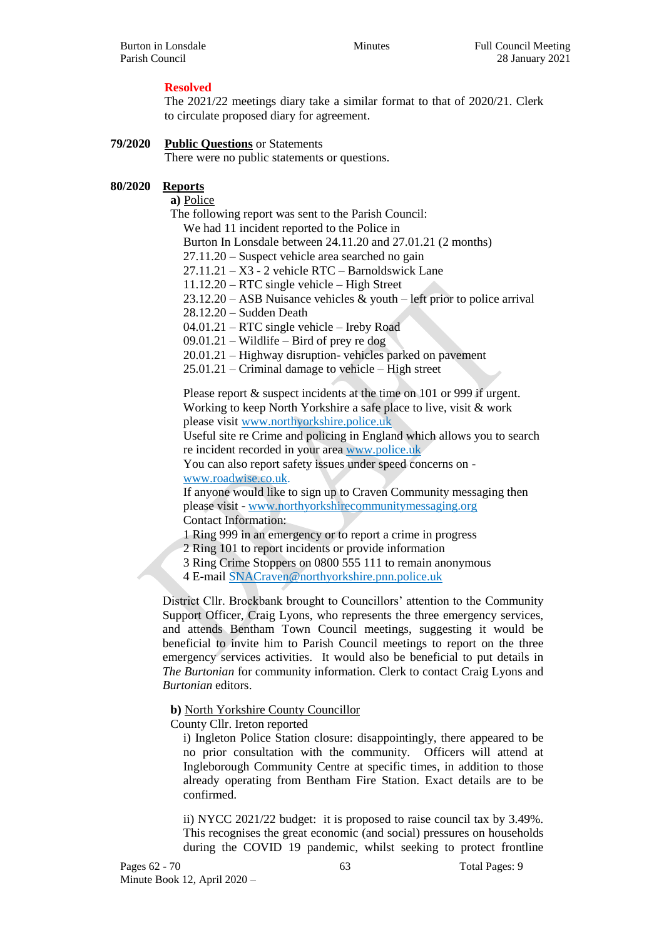# **Resolved**

The 2021/22 meetings diary take a similar format to that of 2020/21. Clerk to circulate proposed diary for agreement.

## **79/2020 Public Questions** or Statements

There were no public statements or questions.

## **80/2020 Reports**

**a)** Police

The following report was sent to the Parish Council:

We had 11 incident reported to the Police in

Burton In Lonsdale between 24.11.20 and 27.01.21 (2 months)

27.11.20 – Suspect vehicle area searched no gain

27.11.21 – X3 - 2 vehicle RTC – Barnoldswick Lane

11.12.20 – RTC single vehicle – High Street

 $23.12.20 - ASB$  Nuisance vehicles  $&$  youth – left prior to police arrival

28.12.20 – Sudden Death

04.01.21 – RTC single vehicle – Ireby Road

09.01.21 – Wildlife – Bird of prey re dog

20.01.21 – Highway disruption- vehicles parked on pavement

25.01.21 – Criminal damage to vehicle – High street

Please report  $&$  suspect incidents at the time on 101 or 999 if urgent. Working to keep North Yorkshire a safe place to live, visit & work please visit [www.northyorkshire.police.uk](http://www.northyorkshire.police.uk/)

Useful site re Crime and policing in England which allows you to search re incident recorded in your area [www.police.uk](http://www.police.uk/)

You can also report safety issues under speed concerns on -

[www.roadwise.co.uk.](http://www.roadwise.co.uk/)

If anyone would like to sign up to Craven Community messaging then please visit - [www.northyorkshirecommunitymessaging.org](http://www.northyorkshirecommunitymessaging.org/) Contact Information:

1 Ring 999 in an emergency or to report a crime in progress

2 Ring 101 to report incidents or provide information

3 Ring Crime Stoppers on 0800 555 111 to remain anonymous

4 E-mail [SNACraven@northyorkshire.pnn.police.uk](mailto:SNACraven@northyorkshire.pnn.police.uk)

District Cllr. Brockbank brought to Councillors' attention to the Community Support Officer, Craig Lyons, who represents the three emergency services, and attends Bentham Town Council meetings, suggesting it would be beneficial to invite him to Parish Council meetings to report on the three emergency services activities. It would also be beneficial to put details in *The Burtonian* for community information. Clerk to contact Craig Lyons and *Burtonian* editors.

**b)** North Yorkshire County Councillor

County Cllr. Ireton reported

i) Ingleton Police Station closure: disappointingly, there appeared to be no prior consultation with the community. Officers will attend at Ingleborough Community Centre at specific times, in addition to those already operating from Bentham Fire Station. Exact details are to be confirmed.

ii) NYCC 2021/22 budget: it is proposed to raise council tax by 3.49%. This recognises the great economic (and social) pressures on households during the COVID 19 pandemic, whilst seeking to protect frontline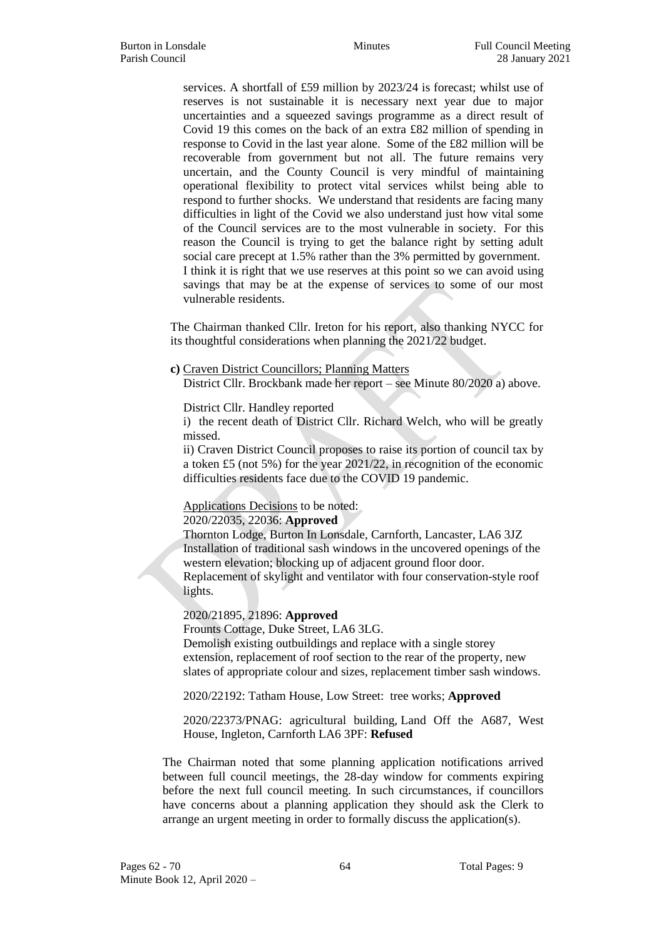services. A shortfall of £59 million by 2023/24 is forecast; whilst use of reserves is not sustainable it is necessary next year due to major uncertainties and a squeezed savings programme as a direct result of Covid 19 this comes on the back of an extra £82 million of spending in response to Covid in the last year alone. Some of the £82 million will be recoverable from government but not all. The future remains very uncertain, and the County Council is very mindful of maintaining operational flexibility to protect vital services whilst being able to respond to further shocks. We understand that residents are facing many difficulties in light of the Covid we also understand just how vital some of the Council services are to the most vulnerable in society. For this reason the Council is trying to get the balance right by setting adult social care precept at 1.5% rather than the 3% permitted by government. I think it is right that we use reserves at this point so we can avoid using savings that may be at the expense of services to some of our most vulnerable residents.

The Chairman thanked Cllr. Ireton for his report, also thanking NYCC for its thoughtful considerations when planning the 2021/22 budget.

**c)** Craven District Councillors; Planning Matters

District Cllr. Brockbank made her report – see Minute 80/2020 a) above.

District Cllr. Handley reported

i) the recent death of District Cllr. Richard Welch, who will be greatly missed.

ii) Craven District Council proposes to raise its portion of council tax by a token £5 (not 5%) for the year 2021/22, in recognition of the economic difficulties residents face due to the COVID 19 pandemic.

Applications Decisions to be noted:

## 2020/22035, 22036: **Approved**

Thornton Lodge, Burton In Lonsdale, Carnforth, Lancaster, LA6 3JZ Installation of traditional sash windows in the uncovered openings of the western elevation; blocking up of adjacent ground floor door. Replacement of skylight and ventilator with four conservation-style roof lights.

## 2020/21895, 21896: **Approved**

Frounts Cottage, Duke Street, LA6 3LG. Demolish existing outbuildings and replace with a single storey extension, replacement of roof section to the rear of the property, new slates of appropriate colour and sizes, replacement timber sash windows.

2020/22192: Tatham House, Low Street: tree works; **Approved**

2020/22373/PNAG: agricultural building, Land Off the A687, West House, Ingleton, Carnforth LA6 3PF: **Refused**

The Chairman noted that some planning application notifications arrived between full council meetings, the 28-day window for comments expiring before the next full council meeting. In such circumstances, if councillors have concerns about a planning application they should ask the Clerk to arrange an urgent meeting in order to formally discuss the application(s).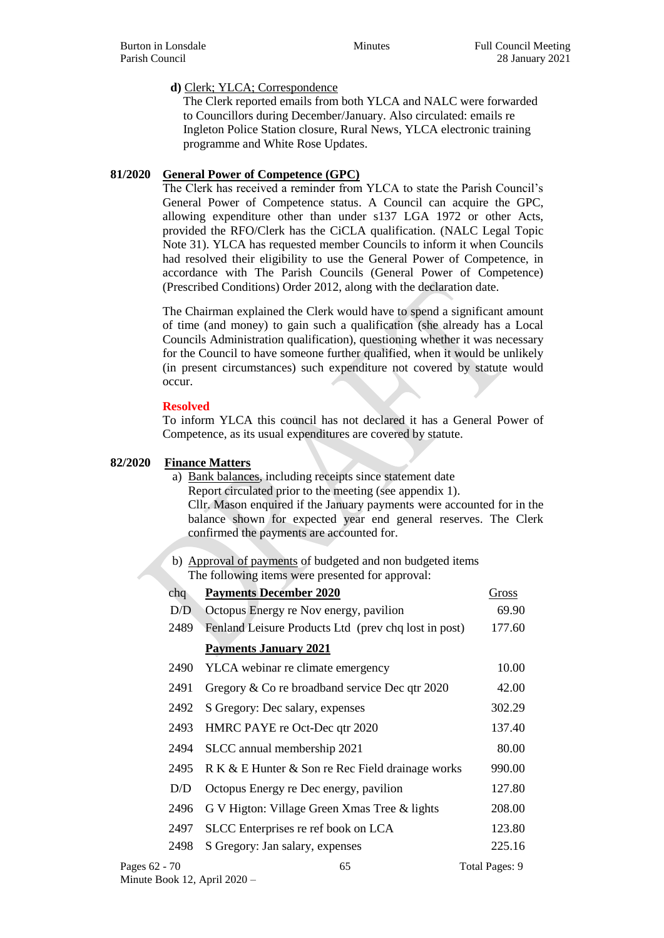## **d)** Clerk; YLCA; Correspondence

The Clerk reported emails from both YLCA and NALC were forwarded to Councillors during December/January. Also circulated: emails re Ingleton Police Station closure, Rural News, YLCA electronic training programme and White Rose Updates.

## **81/2020 General Power of Competence (GPC)**

The Clerk has received a reminder from YLCA to state the Parish Council's General Power of Competence status. A Council can acquire the GPC, allowing expenditure other than under s137 LGA 1972 or other Acts, provided the RFO/Clerk has the CiCLA qualification. (NALC Legal Topic Note 31). YLCA has requested member Councils to inform it when Councils had resolved their eligibility to use the General Power of Competence, in accordance with The Parish Councils (General Power of Competence) (Prescribed Conditions) Order 2012, along with the declaration date.

The Chairman explained the Clerk would have to spend a significant amount of time (and money) to gain such a qualification (she already has a Local Councils Administration qualification), questioning whether it was necessary for the Council to have someone further qualified, when it would be unlikely (in present circumstances) such expenditure not covered by statute would occur.

## **Resolved**

To inform YLCA this council has not declared it has a General Power of Competence, as its usual expenditures are covered by statute.

## **82/2020 Finance Matters**

- a) Bank balances, including receipts since statement date Report circulated prior to the meeting (see appendix 1). Cllr. Mason enquired if the January payments were accounted for in the balance shown for expected year end general reserves. The Clerk confirmed the payments are accounted for.
- b) Approval of payments of budgeted and non budgeted items The following items were presented for approval:

| chq           | <b>Payments December 2020</b>                        | Gross          |
|---------------|------------------------------------------------------|----------------|
| D/D           | Octopus Energy re Nov energy, pavilion               | 69.90          |
| 2489          | Fenland Leisure Products Ltd (prev chq lost in post) | 177.60         |
|               | <b>Payments January 2021</b>                         |                |
| 2490          | YLCA webinar re climate emergency                    | 10.00          |
| 2491          | Gregory & Co re broadband service Dec qtr 2020       | 42.00          |
| 2492          | S Gregory: Dec salary, expenses                      | 302.29         |
| 2493          | HMRC PAYE re Oct-Dec qtr 2020                        | 137.40         |
| 2494          | SLCC annual membership 2021                          | 80.00          |
| 2495          | R K & E Hunter & Son re Rec Field drainage works     | 990.00         |
| D/D           | Octopus Energy re Dec energy, pavilion               | 127.80         |
| 2496          | G V Higton: Village Green Xmas Tree & lights         | 208.00         |
| 2497          | SLCC Enterprises re ref book on LCA                  | 123.80         |
| 2498          | S Gregory: Jan salary, expenses                      | 225.16         |
| Pages 62 - 70 | 65                                                   | Total Pages: 9 |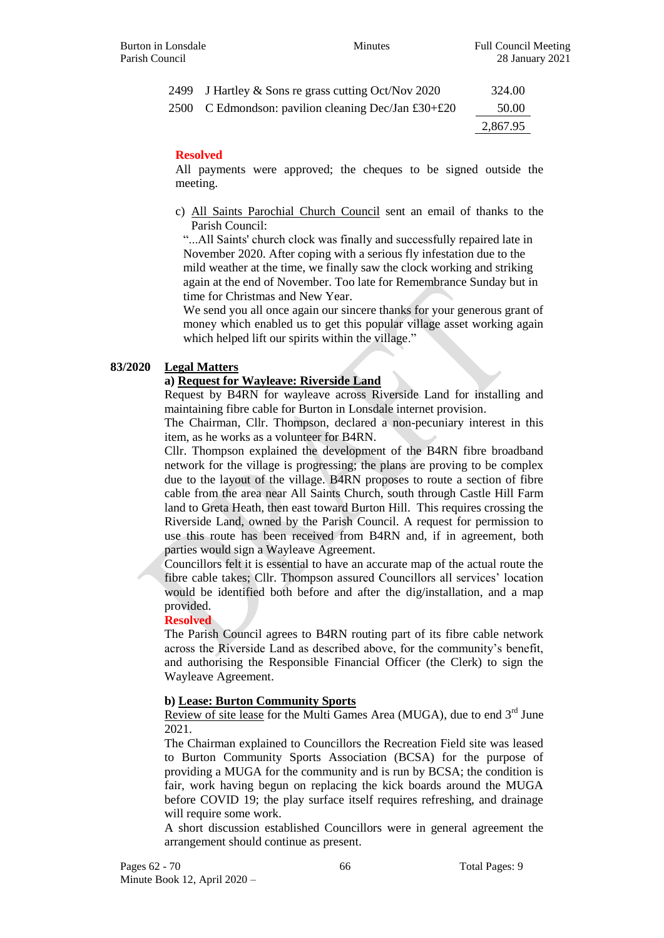| 2499 J Hartley & Sons re grass cutting Oct/Nov 2020 | 324.00   |
|-----------------------------------------------------|----------|
| 2500 C Edmondson: pavilion cleaning Dec/Jan £30+£20 | 50.00    |
|                                                     | 2,867.95 |

## **Resolved**

All payments were approved; the cheques to be signed outside the meeting.

c) All Saints Parochial Church Council sent an email of thanks to the Parish Council:

"...All Saints' church clock was finally and successfully repaired late in November 2020. After coping with a serious fly infestation due to the mild weather at the time, we finally saw the clock working and striking again at the end of November. Too late for Remembrance Sunday but in time for Christmas and New Year.

We send you all once again our sincere thanks for your generous grant of money which enabled us to get this popular village asset working again which helped lift our spirits within the village."

## **83/2020 Legal Matters**

## **a) Request for Wayleave: Riverside Land**

Request by B4RN for wayleave across Riverside Land for installing and maintaining fibre cable for Burton in Lonsdale internet provision.

The Chairman, Cllr. Thompson, declared a non-pecuniary interest in this item, as he works as a volunteer for B4RN.

Cllr. Thompson explained the development of the B4RN fibre broadband network for the village is progressing; the plans are proving to be complex due to the layout of the village. B4RN proposes to route a section of fibre cable from the area near All Saints Church, south through Castle Hill Farm land to Greta Heath, then east toward Burton Hill. This requires crossing the Riverside Land, owned by the Parish Council. A request for permission to use this route has been received from B4RN and, if in agreement, both parties would sign a Wayleave Agreement.

Councillors felt it is essential to have an accurate map of the actual route the fibre cable takes; Cllr. Thompson assured Councillors all services' location would be identified both before and after the dig/installation, and a map provided.

## **Resolved**

The Parish Council agrees to B4RN routing part of its fibre cable network across the Riverside Land as described above, for the community's benefit, and authorising the Responsible Financial Officer (the Clerk) to sign the Wayleave Agreement.

## **b) Lease: Burton Community Sports**

Review of site lease for the Multi Games Area (MUGA), due to end 3<sup>rd</sup> June 2021.

The Chairman explained to Councillors the Recreation Field site was leased to Burton Community Sports Association (BCSA) for the purpose of providing a MUGA for the community and is run by BCSA; the condition is fair, work having begun on replacing the kick boards around the MUGA before COVID 19; the play surface itself requires refreshing, and drainage will require some work.

A short discussion established Councillors were in general agreement the arrangement should continue as present.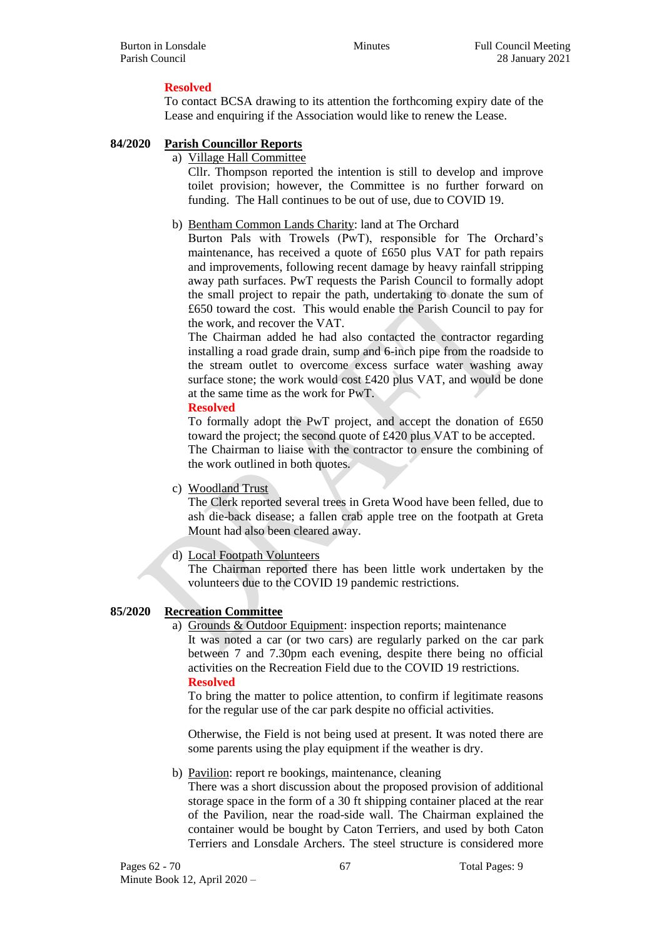## **Resolved**

To contact BCSA drawing to its attention the forthcoming expiry date of the Lease and enquiring if the Association would like to renew the Lease.

## **84/2020 Parish Councillor Reports**

a) Village Hall Committee

Cllr. Thompson reported the intention is still to develop and improve toilet provision; however, the Committee is no further forward on funding. The Hall continues to be out of use, due to COVID 19.

b) Bentham Common Lands Charity: land at The Orchard

Burton Pals with Trowels (PwT), responsible for The Orchard's maintenance, has received a quote of £650 plus VAT for path repairs and improvements, following recent damage by heavy rainfall stripping away path surfaces. PwT requests the Parish Council to formally adopt the small project to repair the path, undertaking to donate the sum of £650 toward the cost. This would enable the Parish Council to pay for the work, and recover the VAT.

The Chairman added he had also contacted the contractor regarding installing a road grade drain, sump and 6-inch pipe from the roadside to the stream outlet to overcome excess surface water washing away surface stone; the work would cost £420 plus VAT, and would be done at the same time as the work for PwT.

## **Resolved**

To formally adopt the PwT project, and accept the donation of £650 toward the project; the second quote of £420 plus VAT to be accepted. The Chairman to liaise with the contractor to ensure the combining of the work outlined in both quotes.

c) Woodland Trust

The Clerk reported several trees in Greta Wood have been felled, due to ash die-back disease; a fallen crab apple tree on the footpath at Greta Mount had also been cleared away.

d) Local Footpath Volunteers

The Chairman reported there has been little work undertaken by the volunteers due to the COVID 19 pandemic restrictions.

## **85/2020 Recreation Committee**

a) Grounds & Outdoor Equipment: inspection reports; maintenance It was noted a car (or two cars) are regularly parked on the car park between 7 and 7.30pm each evening, despite there being no official activities on the Recreation Field due to the COVID 19 restrictions.

## **Resolved**

To bring the matter to police attention, to confirm if legitimate reasons for the regular use of the car park despite no official activities.

Otherwise, the Field is not being used at present. It was noted there are some parents using the play equipment if the weather is dry.

b) Pavilion: report re bookings, maintenance, cleaning

There was a short discussion about the proposed provision of additional storage space in the form of a 30 ft shipping container placed at the rear of the Pavilion, near the road-side wall. The Chairman explained the container would be bought by Caton Terriers, and used by both Caton Terriers and Lonsdale Archers. The steel structure is considered more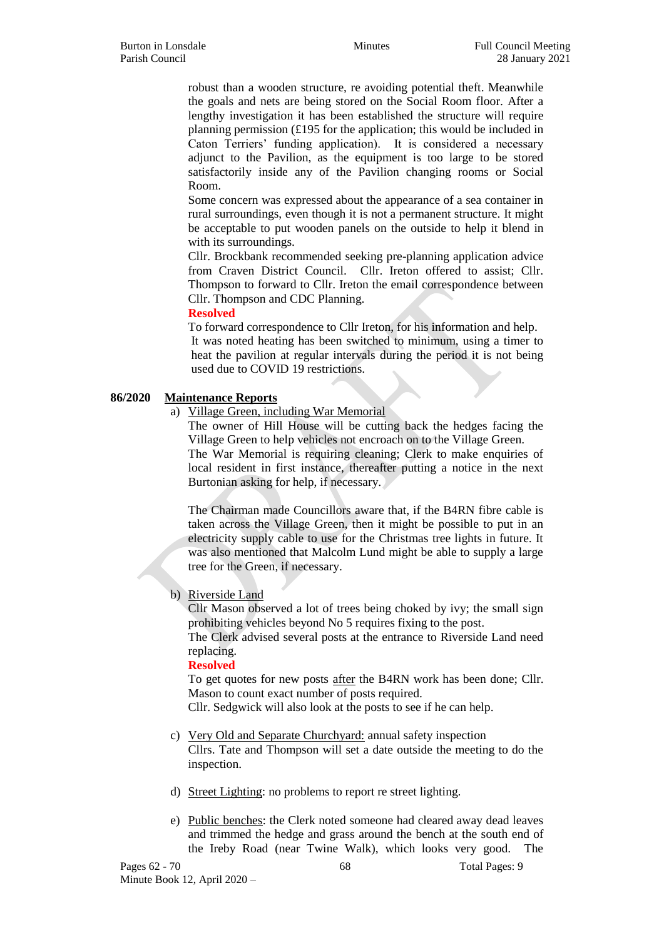robust than a wooden structure, re avoiding potential theft. Meanwhile the goals and nets are being stored on the Social Room floor. After a lengthy investigation it has been established the structure will require planning permission (£195 for the application; this would be included in Caton Terriers' funding application). It is considered a necessary adjunct to the Pavilion, as the equipment is too large to be stored satisfactorily inside any of the Pavilion changing rooms or Social Room.

Some concern was expressed about the appearance of a sea container in rural surroundings, even though it is not a permanent structure. It might be acceptable to put wooden panels on the outside to help it blend in with its surroundings.

Cllr. Brockbank recommended seeking pre-planning application advice from Craven District Council. Cllr. Ireton offered to assist; Cllr. Thompson to forward to Cllr. Ireton the email correspondence between Cllr. Thompson and CDC Planning.

#### **Resolved**

To forward correspondence to Cllr Ireton, for his information and help. It was noted heating has been switched to minimum, using a timer to heat the pavilion at regular intervals during the period it is not being used due to COVID 19 restrictions.

## **86/2020 Maintenance Reports**

a) Village Green, including War Memorial

The owner of Hill House will be cutting back the hedges facing the Village Green to help vehicles not encroach on to the Village Green. The War Memorial is requiring cleaning; Clerk to make enquiries of

local resident in first instance, thereafter putting a notice in the next Burtonian asking for help, if necessary.

The Chairman made Councillors aware that, if the B4RN fibre cable is taken across the Village Green, then it might be possible to put in an electricity supply cable to use for the Christmas tree lights in future. It was also mentioned that Malcolm Lund might be able to supply a large tree for the Green, if necessary.

b) Riverside Land

Cllr Mason observed a lot of trees being choked by ivy; the small sign prohibiting vehicles beyond No 5 requires fixing to the post.

The Clerk advised several posts at the entrance to Riverside Land need replacing.

## **Resolved**

To get quotes for new posts after the B4RN work has been done; Cllr. Mason to count exact number of posts required.

Cllr. Sedgwick will also look at the posts to see if he can help.

- c) Very Old and Separate Churchyard: annual safety inspection Cllrs. Tate and Thompson will set a date outside the meeting to do the inspection.
- d) Street Lighting: no problems to report re street lighting.
- e) Public benches: the Clerk noted someone had cleared away dead leaves and trimmed the hedge and grass around the bench at the south end of the Ireby Road (near Twine Walk), which looks very good. The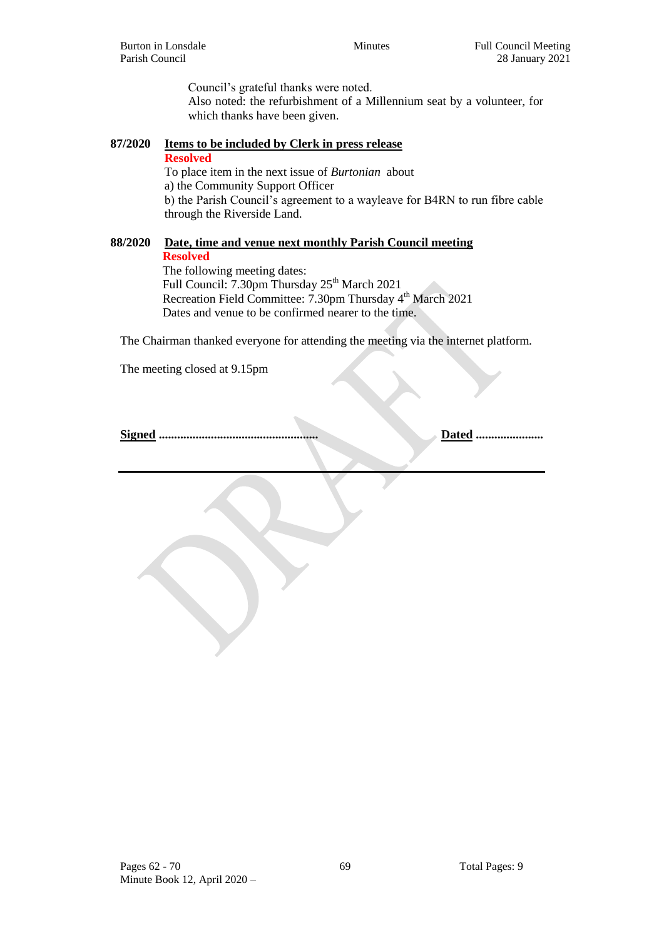Council's grateful thanks were noted. Also noted: the refurbishment of a Millennium seat by a volunteer, for which thanks have been given.

# **87/2020 Items to be included by Clerk in press release**

**Resolved** To place item in the next issue of *Burtonian* about a) the Community Support Officer b) the Parish Council's agreement to a wayleave for B4RN to run fibre cable through the Riverside Land.

## **88/2020 Date, time and venue next monthly Parish Council meeting Resolved**

The following meeting dates: Full Council: 7.30pm Thursday 25<sup>th</sup> March 2021 Recreation Field Committee: 7.30pm Thursday 4<sup>th</sup> March 2021 Dates and venue to be confirmed nearer to the time.

The Chairman thanked everyone for attending the meeting via the internet platform.

The meeting closed at 9.15pm

**Signed .................................................... Dated ......................**